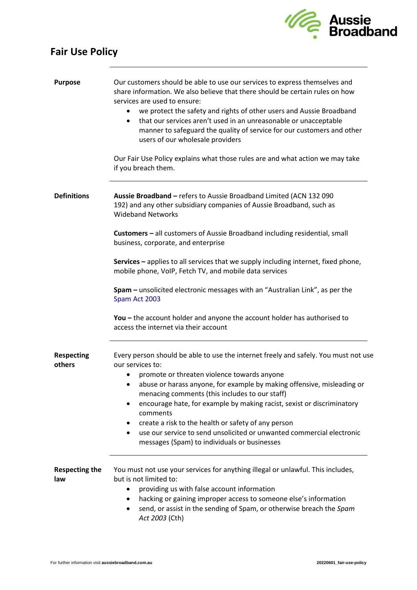

## **Fair Use Policy**

| <b>Purpose</b>               | Our customers should be able to use our services to express themselves and<br>share information. We also believe that there should be certain rules on how<br>services are used to ensure:<br>we protect the safety and rights of other users and Aussie Broadband<br>$\bullet$<br>that our services aren't used in an unreasonable or unacceptable<br>$\bullet$<br>manner to safeguard the quality of service for our customers and other<br>users of our wholesale providers<br>Our Fair Use Policy explains what those rules are and what action we may take<br>if you breach them. |
|------------------------------|----------------------------------------------------------------------------------------------------------------------------------------------------------------------------------------------------------------------------------------------------------------------------------------------------------------------------------------------------------------------------------------------------------------------------------------------------------------------------------------------------------------------------------------------------------------------------------------|
| <b>Definitions</b>           | Aussie Broadband - refers to Aussie Broadband Limited (ACN 132 090<br>192) and any other subsidiary companies of Aussie Broadband, such as<br><b>Wideband Networks</b><br>Customers - all customers of Aussie Broadband including residential, small                                                                                                                                                                                                                                                                                                                                   |
|                              | business, corporate, and enterprise                                                                                                                                                                                                                                                                                                                                                                                                                                                                                                                                                    |
|                              | Services - applies to all services that we supply including internet, fixed phone,<br>mobile phone, VoIP, Fetch TV, and mobile data services                                                                                                                                                                                                                                                                                                                                                                                                                                           |
|                              | Spam - unsolicited electronic messages with an "Australian Link", as per the<br>Spam Act 2003                                                                                                                                                                                                                                                                                                                                                                                                                                                                                          |
|                              | You $-$ the account holder and anyone the account holder has authorised to<br>access the internet via their account                                                                                                                                                                                                                                                                                                                                                                                                                                                                    |
| <b>Respecting</b><br>others  | Every person should be able to use the internet freely and safely. You must not use<br>our services to:                                                                                                                                                                                                                                                                                                                                                                                                                                                                                |
|                              | promote or threaten violence towards anyone                                                                                                                                                                                                                                                                                                                                                                                                                                                                                                                                            |
|                              | abuse or harass anyone, for example by making offensive, misleading or<br>٠<br>menacing comments (this includes to our staff)                                                                                                                                                                                                                                                                                                                                                                                                                                                          |
|                              | encourage hate, for example by making racist, sexist or discriminatory<br>$\bullet$                                                                                                                                                                                                                                                                                                                                                                                                                                                                                                    |
|                              | comments<br>create a risk to the health or safety of any person<br>٠                                                                                                                                                                                                                                                                                                                                                                                                                                                                                                                   |
|                              | use our service to send unsolicited or unwanted commercial electronic<br>$\bullet$<br>messages (Spam) to individuals or businesses                                                                                                                                                                                                                                                                                                                                                                                                                                                     |
| <b>Respecting the</b><br>law | You must not use your services for anything illegal or unlawful. This includes,<br>but is not limited to:                                                                                                                                                                                                                                                                                                                                                                                                                                                                              |
|                              | providing us with false account information<br>٠                                                                                                                                                                                                                                                                                                                                                                                                                                                                                                                                       |
|                              | hacking or gaining improper access to someone else's information<br>$\bullet$<br>send, or assist in the sending of Spam, or otherwise breach the Spam<br>$\bullet$<br>Act 2003 (Cth)                                                                                                                                                                                                                                                                                                                                                                                                   |
|                              |                                                                                                                                                                                                                                                                                                                                                                                                                                                                                                                                                                                        |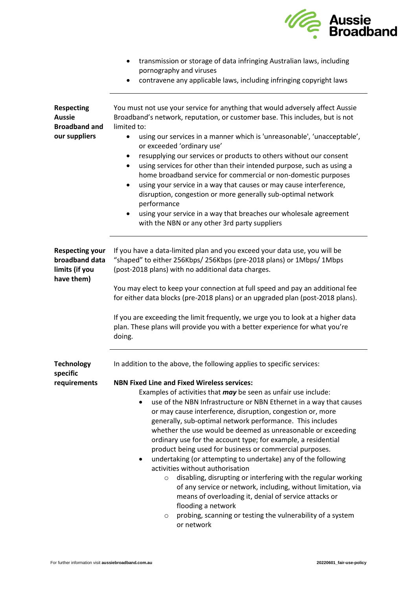

|                                                                             | pornography and viruses                                                                                                                                                                                                                                                                                                                                                                                                                                                                                                                                                                                                                                                                                                                                                                                                                                                                                                                          |
|-----------------------------------------------------------------------------|--------------------------------------------------------------------------------------------------------------------------------------------------------------------------------------------------------------------------------------------------------------------------------------------------------------------------------------------------------------------------------------------------------------------------------------------------------------------------------------------------------------------------------------------------------------------------------------------------------------------------------------------------------------------------------------------------------------------------------------------------------------------------------------------------------------------------------------------------------------------------------------------------------------------------------------------------|
|                                                                             | contravene any applicable laws, including infringing copyright laws                                                                                                                                                                                                                                                                                                                                                                                                                                                                                                                                                                                                                                                                                                                                                                                                                                                                              |
| <b>Respecting</b><br><b>Aussie</b><br><b>Broadband and</b><br>our suppliers | You must not use your service for anything that would adversely affect Aussie<br>Broadband's network, reputation, or customer base. This includes, but is not<br>limited to:                                                                                                                                                                                                                                                                                                                                                                                                                                                                                                                                                                                                                                                                                                                                                                     |
|                                                                             | using our services in a manner which is 'unreasonable', 'unacceptable',<br>$\bullet$<br>or exceeded 'ordinary use'                                                                                                                                                                                                                                                                                                                                                                                                                                                                                                                                                                                                                                                                                                                                                                                                                               |
|                                                                             | resupplying our services or products to others without our consent<br>٠<br>using services for other than their intended purpose, such as using a<br>home broadband service for commercial or non-domestic purposes<br>using your service in a way that causes or may cause interference,<br>$\bullet$<br>disruption, congestion or more generally sub-optimal network<br>performance                                                                                                                                                                                                                                                                                                                                                                                                                                                                                                                                                             |
|                                                                             | using your service in a way that breaches our wholesale agreement<br>٠<br>with the NBN or any other 3rd party suppliers                                                                                                                                                                                                                                                                                                                                                                                                                                                                                                                                                                                                                                                                                                                                                                                                                          |
| <b>Respecting your</b><br>broadband data<br>limits (if you<br>have them)    | If you have a data-limited plan and you exceed your data use, you will be<br>"shaped" to either 256Kbps/ 256Kbps (pre-2018 plans) or 1Mbps/ 1Mbps<br>(post-2018 plans) with no additional data charges.                                                                                                                                                                                                                                                                                                                                                                                                                                                                                                                                                                                                                                                                                                                                          |
|                                                                             | You may elect to keep your connection at full speed and pay an additional fee<br>for either data blocks (pre-2018 plans) or an upgraded plan (post-2018 plans).                                                                                                                                                                                                                                                                                                                                                                                                                                                                                                                                                                                                                                                                                                                                                                                  |
|                                                                             | If you are exceeding the limit frequently, we urge you to look at a higher data<br>plan. These plans will provide you with a better experience for what you're<br>doing.                                                                                                                                                                                                                                                                                                                                                                                                                                                                                                                                                                                                                                                                                                                                                                         |
| <b>Technology</b><br>specific                                               | In addition to the above, the following applies to specific services:                                                                                                                                                                                                                                                                                                                                                                                                                                                                                                                                                                                                                                                                                                                                                                                                                                                                            |
| requirements                                                                | <b>NBN Fixed Line and Fixed Wireless services:</b><br>Examples of activities that <i>may</i> be seen as unfair use include:<br>use of the NBN Infrastructure or NBN Ethernet in a way that causes<br>or may cause interference, disruption, congestion or, more<br>generally, sub-optimal network performance. This includes<br>whether the use would be deemed as unreasonable or exceeding<br>ordinary use for the account type; for example, a residential<br>product being used for business or commercial purposes.<br>undertaking (or attempting to undertake) any of the following<br>activities without authorisation<br>disabling, disrupting or interfering with the regular working<br>$\circ$<br>of any service or network, including, without limitation, via<br>means of overloading it, denial of service attacks or<br>flooding a network<br>probing, scanning or testing the vulnerability of a system<br>$\circ$<br>or network |

• transmission or storage of data infringing Australian laws, including